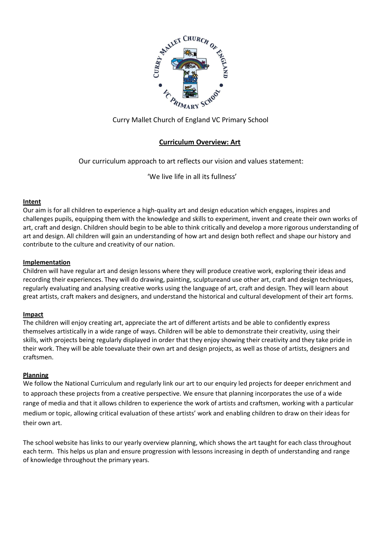

# Curry Mallet Church of England VC Primary School

# **Curriculum Overview: Art**

Our curriculum approach to art reflects our vision and values statement:

'We live life in all its fullness'

## **Intent**

Our aim is for all children to experience a high-quality art and design education which engages, inspires and challenges pupils, equipping them with the knowledge and skills to experiment, invent and create their own works of art, craft and design. Children should begin to be able to think critically and develop a more rigorous understanding of art and design. All children will gain an understanding of how art and design both reflect and shape our history and contribute to the culture and creativity of our nation.

## **Implementation**

Children will have regular art and design lessons where they will produce creative work, exploring their ideas and recording their experiences. They will do drawing, painting, sculptureand use other art, craft and design techniques, regularly evaluating and analysing creative works using the language of art, craft and design. They will learn about great artists, craft makers and designers, and understand the historical and cultural development of their art forms.

#### **Impact**

The children will enjoy creating art, appreciate the art of different artists and be able to confidently express themselves artistically in a wide range of ways. Children will be able to demonstrate their creativity, using their skills, with projects being regularly displayed in order that they enjoy showing their creativity and they take pride in their work. They will be able toevaluate their own art and design projects, as well as those of artists, designers and craftsmen.

#### **Planning**

We follow the National Curriculum and regularly link our art to our enquiry led projects for deeper enrichment and to approach these projects from a creative perspective. We ensure that planning incorporates the use of a wide range of media and that it allows children to experience the work of artists and craftsmen, working with a particular medium or topic, allowing critical evaluation of these artists' work and enabling children to draw on their ideas for their own art.

The school website has links to our yearly overview planning, which shows the art taught for each class throughout each term. This helps us plan and ensure progression with lessons increasing in depth of understanding and range of knowledge throughout the primary years.